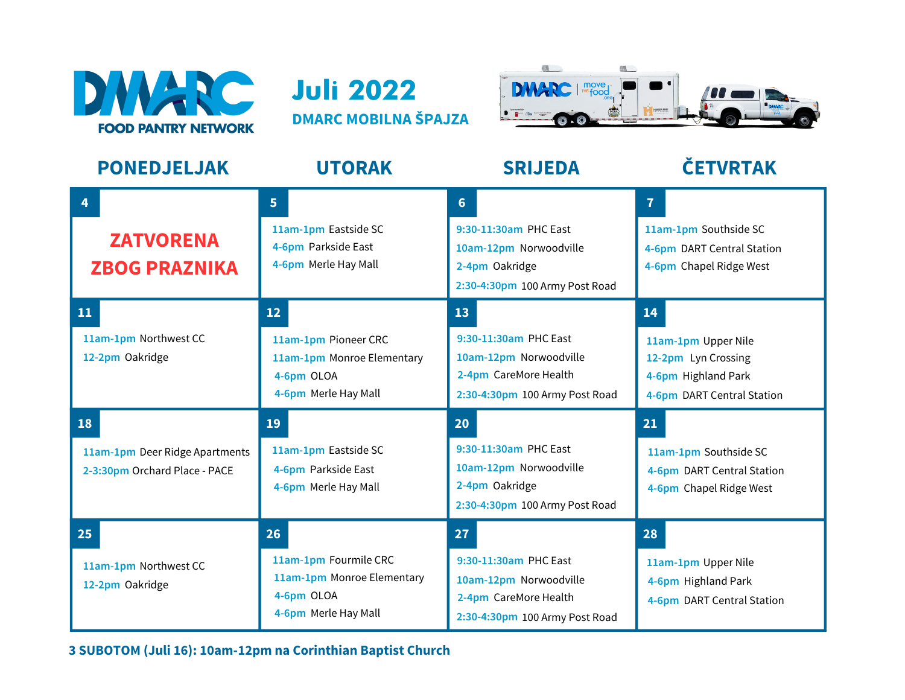





| <b>PONEDJELJAK</b>                                                    | <b>UTORAK</b>                                                                                   | <b>SRIJEDA</b>                                                                                                          | <b>ČETVRTAK</b>                                                                                       |
|-----------------------------------------------------------------------|-------------------------------------------------------------------------------------------------|-------------------------------------------------------------------------------------------------------------------------|-------------------------------------------------------------------------------------------------------|
| 4<br><b>ZATVORENA</b><br><b>ZBOG PRAZNIKA</b>                         | 5 <sup>1</sup><br>11am-1pm Eastside SC<br>4-6pm Parkside East<br>4-6pm Merle Hay Mall           | $6 \overline{6}$<br>9:30-11:30am PHC East<br>10am-12pm Norwoodville<br>2-4pm Oakridge<br>2:30-4:30pm 100 Army Post Road | $\overline{7}$<br>11am-1pm Southside SC<br>4-6pm DART Central Station<br>4-6pm Chapel Ridge West      |
| 11<br>11am-1pm Northwest CC<br>12-2pm Oakridge                        | 12<br>11am-1pm Pioneer CRC<br>11am-1pm Monroe Elementary<br>4-6pm OLOA<br>4-6pm Merle Hay Mall  | 13<br>9:30-11:30am PHC East<br>10am-12pm Norwoodville<br>2-4pm CareMore Health<br>2:30-4:30pm 100 Army Post Road        | 14<br>11am-1pm Upper Nile<br>12-2pm Lyn Crossing<br>4-6pm Highland Park<br>4-6pm DART Central Station |
| 18<br>11am-1pm Deer Ridge Apartments<br>2-3:30pm Orchard Place - PACE | 19<br>11am-1pm Eastside SC<br>4-6pm Parkside East<br>4-6pm Merle Hay Mall                       | 20<br>9:30-11:30am PHC East<br>10am-12pm Norwoodville<br>2-4pm Oakridge<br>2:30-4:30pm 100 Army Post Road               | 21<br>11am-1pm Southside SC<br>4-6pm DART Central Station<br>4-6pm Chapel Ridge West                  |
| 25<br>11am-1pm Northwest CC<br>12-2pm Oakridge                        | 26<br>11am-1pm Fourmile CRC<br>11am-1pm Monroe Elementary<br>4-6pm OLOA<br>4-6pm Merle Hay Mall | 27<br>9:30-11:30am PHC East<br>10am-12pm Norwoodville<br>2-4pm CareMore Health<br>2:30-4:30pm 100 Army Post Road        | 28<br>11am-1pm Upper Nile<br>4-6pm Highland Park<br>4-6pm DART Central Station                        |

**3 SUBOTOM (Juli 16): 10am-12pm na Corinthian Baptist Church**